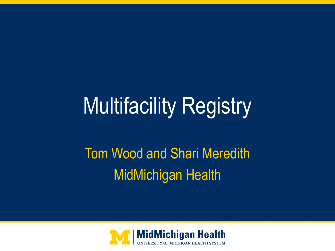# Multifacility Registry

## Tom Wood and Shari Meredith MidMichigan Health

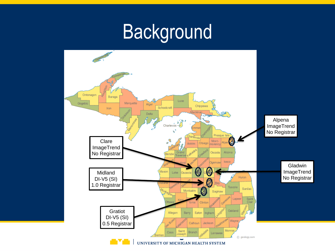## Background

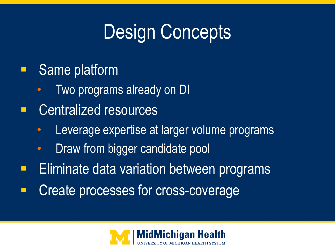# Design Concepts

- Same platform
	- Two programs already on DI
- **Entralized resources** 
	- Leverage expertise at larger volume programs
	- Draw from bigger candidate pool
- Eliminate data variation between programs
- Create processes for cross-coverage

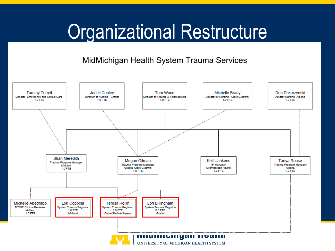# Organizational Restructure

#### MidMichigan Health System Trauma Services



UNIVERSITY OF MICHIGAN HEALTH SYSTEM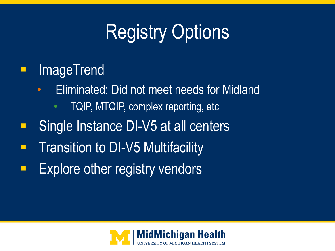# Registry Options

### **ImageTrend**

- Eliminated: Did not meet needs for Midland
	- TQIP, MTQIP, complex reporting, etc
- Single Instance DI-V5 at all centers
- Transition to DI-V5 Multifacility
- Explore other registry vendors

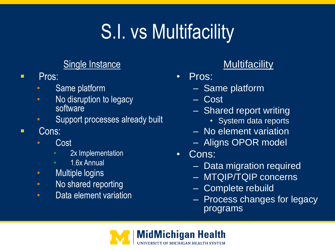# S.I. vs Multifacility

### Single Instance

- **Pros:** 
	- Same platform
	- No disruption to legacy software
	- Support processes already built
- **Cons:** 
	- **Cost** 
		- 2x Implementation
		- 1.6x Annual
	- Multiple logins
	- No shared reporting
	- Data element variation

### **Multifacility**

- Pros:
	- Same platform
	- Cost
	- Shared report writing
		- System data reports
	- No element variation
	- Aligns OPOR model
- Cons:
	- Data migration required
	- MTQIP/TQIP concerns
	- Complete rebuild
	- Process changes for legacy programs

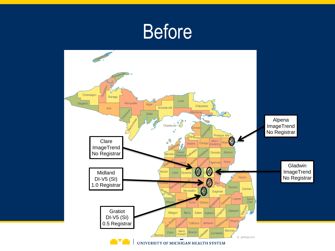## Before

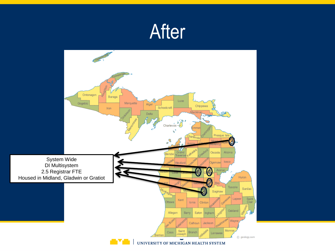

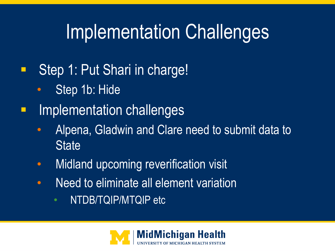# Implementation Challenges

- **Step 1: Put Shari in charge!** 
	- Step 1b: Hide
- **Implementation challenges** 
	- Alpena, Gladwin and Clare need to submit data to **State**
	- Midland upcoming reverification visit
	- Need to eliminate all element variation
		- NTDB/TQIP/MTQIP etc

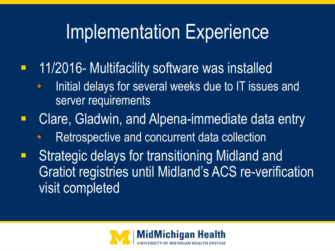# Implementation Experience

- **11/2016- Multifacility software was installed** 
	- Initial delays for several weeks due to IT issues and server requirements
- **E.** Clare, Gladwin, and Alpena-immediate data entry
	- Retrospective and concurrent data collection
- Strategic delays for transitioning Midland and Gratiot registries until Midland's ACS re-verification visit completed

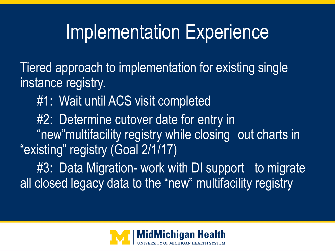## Implementation Experience

Tiered approach to implementation for existing single instance registry.

#1: Wait until ACS visit completed

#2: Determine cutover date for entry in "new"multifacility registry while closing out charts in "existing" registry (Goal 2/1/17)

#3: Data Migration- work with DI support to migrate all closed legacy data to the "new" multifacility registry

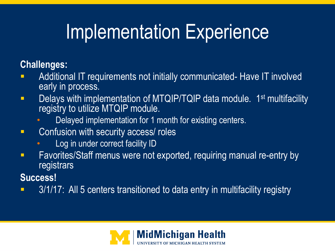# Implementation Experience

### **Challenges:**

- Additional IT requirements not initially communicated- Have IT involved early in process.
- **Delays with implementation of MTQIP/TQIP data module.** 1<sup>st</sup> multifacility registry to utilize MTQIP module.
	- Delayed implementation for 1 month for existing centers.
- **EXECONFERGIOUS CONFUSION With security access/ roles** 
	- Log in under correct facility ID
- **Favorites/Staff menus were not exported, requiring manual re-entry by** registrars
- **Success!**
- 3/1/17: All 5 centers transitioned to data entry in multifacility registry

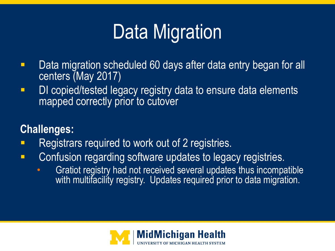# Data Migration

- **Data migration scheduled 60 days after data entry began for all** centers (May 2017)
- **DI copied/tested legacy registry data to ensure data elements** mapped correctly prior to cutover

### **Challenges:**

- Registrars required to work out of 2 registries.
- **EXECONFERGIVE CONFULLY EXAGREM** CONFUSION regarding software updates to legacy registries.
	- Gratiot registry had not received several updates thus incompatible with multifacility registry. Updates required prior to data migration.

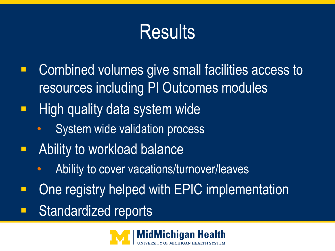# **Results**

- **EXCOMBINED VOLUMES GIVE SMALL FACILITIES ACCESS TO** resources including PI Outcomes modules
- High quality data system wide
	- System wide validation process
- Ability to workload balance
	- Ability to cover vacations/turnover/leaves
- One registry helped with EPIC implementation
- Standardized reports

![](_page_13_Picture_8.jpeg)